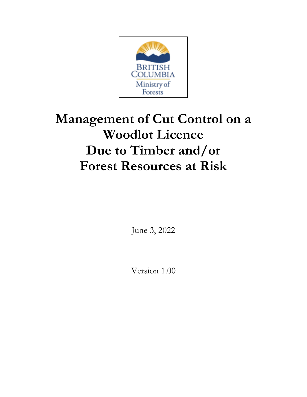

# **Management of Cut Control on a Woodlot Licence Due to Timber and/or Forest Resources at Risk**

June 3, 2022

Version 1.00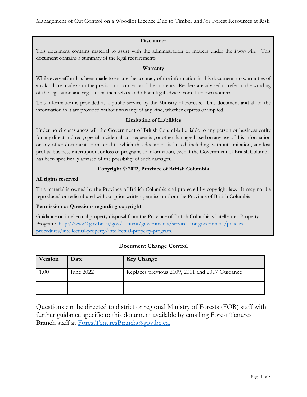#### **Disclaimer**

This document contains material to assist with the administration of matters under the *Forest Act*. This document contains a summary of the legal requirements

#### **Warranty**

While every effort has been made to ensure the accuracy of the information in this document, no warranties of any kind are made as to the precision or currency of the contents. Readers are advised to refer to the wording of the legislation and regulations themselves and obtain legal advice from their own sources.

This information is provided as a public service by the Ministry of Forests. This document and all of the information in it are provided without warranty of any kind, whether express or implied.

#### **Limitation of Liabilities**

Under no circumstances will the Government of British Columbia be liable to any person or business entity for any direct, indirect, special, incidental, consequential, or other damages based on any use of this information or any other document or material to which this document is linked, including, without limitation, any lost profits, business interruption, or loss of programs or information, even if the Government of British Columbia has been specifically advised of the possibility of such damages.

#### **Copyright © 2022, Province of British Columbia**

#### **All rights reserved**

This material is owned by the Province of British Columbia and protected by copyright law. It may not be reproduced or redistributed without prior written permission from the Province of British Columbia.

#### **Permission or Questions regarding copyright**

Guidance on intellectual property disposal from the Province of British Columbia's Intellectual Property. Program: [http://www2.gov.bc.ca/gov/content/governments/services-for-government/policies](http://www2.gov.bc.ca/gov/content/governments/services-for-government/policies-procedures/intellectual-property/intellectual-property-program)[procedures/intellectual-property/intellectual-property-program.](http://www2.gov.bc.ca/gov/content/governments/services-for-government/policies-procedures/intellectual-property/intellectual-property-program)

#### **Document Change Control**

| Version  | Date      | <b>Key Change</b>                              |
|----------|-----------|------------------------------------------------|
| $1.00\,$ | June 2022 | Replaces previous 2009, 2011 and 2017 Guidance |
|          |           |                                                |

Questions can be directed to district or regional Ministry of Forests (FOR) staff with further guidance specific to this document available by emailing Forest Tenures Branch staff at [ForestTenuresBranch@gov.bc.ca.](mailto:ForestTenuresBranch@gov.bc.ca)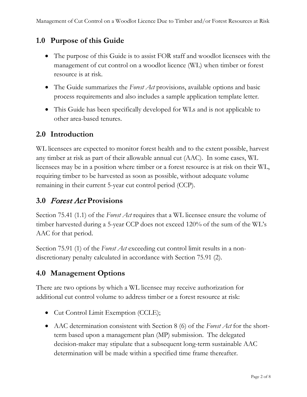# **1.0 Purpose of this Guide**

- The purpose of this Guide is to assist FOR staff and woodlot licensees with the management of cut control on a woodlot licence (WL) when timber or forest resource is at risk.
- The Guide summarizes the *Forest Act* provisions, available options and basic process requirements and also includes a sample application template letter.
- This Guide has been specifically developed for WLs and is not applicable to other area-based tenures.

# **2.0 Introduction**

WL licensees are expected to monitor forest health and to the extent possible, harvest any timber at risk as part of their allowable annual cut (AAC). In some cases, WL licensees may be in a position where timber or a forest resource is at risk on their WL, requiring timber to be harvested as soon as possible, without adequate volume remaining in their current 5-year cut control period (CCP).

# **3.0** Forest Act **Provisions**

Section 75.41 (1.1) of the *Forest Act* requires that a WL licensee ensure the volume of timber harvested during a 5-year CCP does not exceed 120% of the sum of the WL's AAC for that period.

Section 75.91 (1) of the *Forest Act* exceeding cut control limit results in a nondiscretionary penalty calculated in accordance with Section 75.91 (2).

# **4.0 Management Options**

There are two options by which a WL licensee may receive authorization for additional cut control volume to address timber or a forest resource at risk:

- Cut Control Limit Exemption (CCLE);
- AAC determination consistent with Section 8 (6) of the *Forest Act* for the shortterm based upon a management plan (MP) submission. The delegated decision-maker may stipulate that a subsequent long-term sustainable AAC determination will be made within a specified time frame thereafter.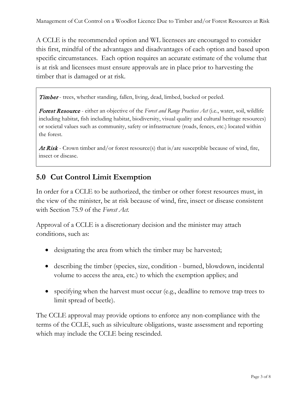A CCLE is the recommended option and WL licensees are encouraged to consider this first, mindful of the advantages and disadvantages of each option and based upon specific circumstances. Each option requires an accurate estimate of the volume that is at risk and licensees must ensure approvals are in place prior to harvesting the timber that is damaged or at risk.

Timber - trees, whether standing, fallen, living, dead, limbed, bucked or peeled.

Forest Resource - either an objective of the *Forest and Range Practices Act* (i.e., water, soil, wildlife including habitat, fish including habitat, biodiversity, visual quality and cultural heritage resources) or societal values such as community, safety or infrastructure (roads, fences, etc.) located within the forest.

At Risk - Crown timber and/or forest resource(s) that is/are susceptible because of wind, fire, insect or disease.

# **5.0 Cut Control Limit Exemption**

In order for a CCLE to be authorized, the timber or other forest resources must, in the view of the minister, be at risk because of wind, fire, insect or disease consistent with Section 75.9 of the *Forest Act.*

Approval of a CCLE is a discretionary decision and the minister may attach conditions, such as:

- designating the area from which the timber may be harvested;
- describing the timber (species, size, condition burned, blowdown, incidental volume to access the area, etc.) to which the exemption applies; and
- specifying when the harvest must occur (e.g., deadline to remove trap trees to limit spread of beetle).

The CCLE approval may provide options to enforce any non-compliance with the terms of the CCLE, such as silviculture obligations, waste assessment and reporting which may include the CCLE being rescinded.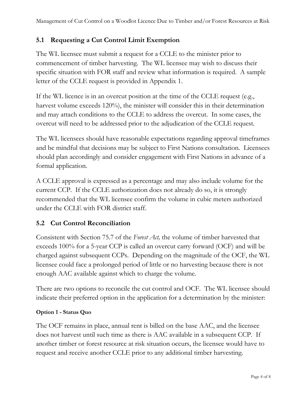## **5.1 Requesting a Cut Control Limit Exemption**

The WL licensee must submit a request for a CCLE to the minister prior to commencement of timber harvesting. The WL licensee may wish to discuss their specific situation with FOR staff and review what information is required. A sample letter of the CCLE request is provided in Appendix 1.

If the WL licence is in an overcut position at the time of the CCLE request (e.g., harvest volume exceeds 120%), the minister will consider this in their determination and may attach conditions to the CCLE to address the overcut. In some cases, the overcut will need to be addressed prior to the adjudication of the CCLE request.

The WL licensees should have reasonable expectations regarding approval timeframes and be mindful that decisions may be subject to First Nations consultation. Licensees should plan accordingly and consider engagement with First Nations in advance of a formal application.

A CCLE approval is expressed as a percentage and may also include volume for the current CCP. If the CCLE authorization does not already do so, it is strongly recommended that the WL licensee confirm the volume in cubic meters authorized under the CCLE with FOR district staff.

## **5.2 Cut Control Reconciliation**

Consistent with Section 75.7 of the *Forest Act,* the volume of timber harvested that exceeds 100% for a 5-year CCP is called an overcut carry forward (OCF) and will be charged against subsequent CCPs. Depending on the magnitude of the OCF, the WL licensee could face a prolonged period of little or no harvesting because there is not enough AAC available against which to charge the volume.

There are two options to reconcile the cut control and OCF. The WL licensee should indicate their preferred option in the application for a determination by the minister:

## **Option 1 - Status Quo**

The OCF remains in place, annual rent is billed on the base AAC, and the licensee does not harvest until such time as there is AAC available in a subsequent CCP. If another timber or forest resource at risk situation occurs, the licensee would have to request and receive another CCLE prior to any additional timber harvesting.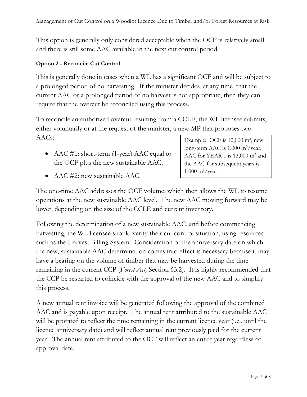This option is generally only considered acceptable when the OCF is relatively small and there is still some AAC available in the next cut control period.

## **Option 2 - Reconcile Cut Control**

This is generally done in cases when a WL has a significant OCF and will be subject to a prolonged period of no harvesting. If the minister decides, at any time, that the current AAC or a prolonged period of no harvest is not appropriate, then they can require that the overcut be reconciled using this process.

To reconcile an authorized overcut resulting from a CCLE, the WL licensee submits, either voluntarily or at the request of the minister, a new MP that proposes two AACs:

• AAC #1: short-term (1-year) AAC equal to the OCF plus the new sustainable AAC.

Example: OCF is  $12,000 \text{ m}^3$ , new long-term AAC is 1,000 m<sup>3</sup>/year. AAC for YEAR 1 is 13,000 m<sup>3</sup> and the AAC for subsequent years is  $1,000 \text{ m}^3/\text{year}.$ 

• AAC #2: new sustainable AAC.

The one-time AAC addresses the OCF volume, which then allows the WL to resume operations at the new sustainable AAC level. The new AAC moving forward may be lower, depending on the size of the CCLE and current inventory.

Following the determination of a new sustainable AAC, and before commencing harvesting, the WL licensee should verify their cut control situation, using resources such as the Harvest Billing System. Consideration of the anniversary date on which the new, sustainable AAC determination comes into effect is necessary because it may have a bearing on the volume of timber that may be harvested during the time remaining in the current CCP (*Forest Act,* Section 63.2). It is highly recommended that the CCP be restarted to coincide with the approval of the new AAC and to simplify this process.

A new annual rent invoice will be generated following the approval of the combined AAC and is payable upon receipt. The annual rent attributed to the sustainable AAC will be prorated to reflect the time remaining in the current licence year (i.e., until the licence anniversary date) and will reflect annual rent previously paid for the current year. The annual rent attributed to the OCF will reflect an entire year regardless of approval date.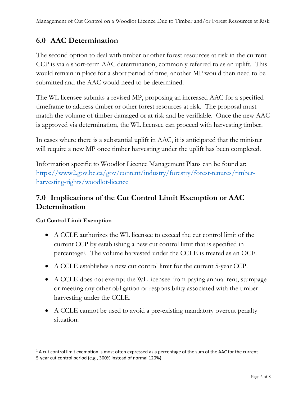# **6.0 AAC Determination**

The second option to deal with timber or other forest resources at risk in the current CCP is via a short-term AAC determination, commonly referred to as an uplift. This would remain in place for a short period of time, another MP would then need to be submitted and the AAC would need to be determined.

The WL licensee submits a revised MP, proposing an increased AAC for a specified timeframe to address timber or other forest resources at risk. The proposal must match the volume of timber damaged or at risk and be verifiable. Once the new AAC is approved via determination, the WL licensee can proceed with harvesting timber.

In cases where there is a substantial uplift in AAC, it is anticipated that the minister will require a new MP once timber harvesting under the uplift has been completed.

Information specific to Woodlot Licence Management Plans can be found at: [https://www2.gov.bc.ca/gov/content/industry/forestry/forest-tenures/timber](https://www2.gov.bc.ca/gov/content/industry/forestry/forest-tenures/timber-harvesting-rights/woodlot-licence)[harvesting-rights/woodlot-licence](https://www2.gov.bc.ca/gov/content/industry/forestry/forest-tenures/timber-harvesting-rights/woodlot-licence)

# **7.0 Implications of the Cut Control Limit Exemption or AAC Determination**

## **Cut Control Limit Exemption**

- A CCLE authorizes the WL licensee to exceed the cut control limit of the current CCP by establishing a new cut control limit that is specified in percentag[e1.](#page-6-0) The volume harvested under the CCLE is treated as an OCF.
- A CCLE establishes a new cut control limit for the current 5-year CCP.
- A CCLE does not exempt the WL licensee from paying annual rent, stumpage or meeting any other obligation or responsibility associated with the timber harvesting under the CCLE.
- A CCLE cannot be used to avoid a pre-existing mandatory overcut penalty situation.

<span id="page-6-0"></span> $1$  A cut control limit exemption is most often expressed as a percentage of the sum of the AAC for the current 5-year cut control period (e.g., 300% instead of normal 120%).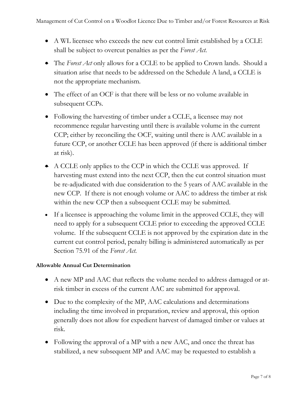- A WL licensee who exceeds the new cut control limit established by a CCLE shall be subject to overcut penalties as per the *Forest Act*.
- The *Forest Act* only allows for a CCLE to be applied to Crown lands. Should a situation arise that needs to be addressed on the Schedule A land, a CCLE is not the appropriate mechanism.
- The effect of an OCF is that there will be less or no volume available in subsequent CCPs.
- Following the harvesting of timber under a CCLE, a licensee may not recommence regular harvesting until there is available volume in the current CCP; either by reconciling the OCF, waiting until there is AAC available in a future CCP, or another CCLE has been approved (if there is additional timber at risk).
- A CCLE only applies to the CCP in which the CCLE was approved. If harvesting must extend into the next CCP, then the cut control situation must be re-adjudicated with due consideration to the 5 years of AAC available in the new CCP. If there is not enough volume or AAC to address the timber at risk within the new CCP then a subsequent CCLE may be submitted.
- If a licensee is approaching the volume limit in the approved CCLE, they will need to apply for a subsequent CCLE prior to exceeding the approved CCLE volume. If the subsequent CCLE is not approved by the expiration date in the current cut control period, penalty billing is administered automatically as per Section 75.91 of the *Forest Act*.

## **Allowable Annual Cut Determination**

- A new MP and AAC that reflects the volume needed to address damaged or atrisk timber in excess of the current AAC are submitted for approval.
- Due to the complexity of the MP, AAC calculations and determinations including the time involved in preparation, review and approval, this option generally does not allow for expedient harvest of damaged timber or values at risk.
- Following the approval of a MP with a new AAC, and once the threat has stabilized, a new subsequent MP and AAC may be requested to establish a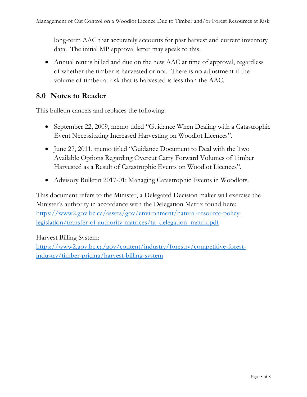long-term AAC that accurately accounts for past harvest and current inventory data. The initial MP approval letter may speak to this.

• Annual rent is billed and due on the new AAC at time of approval, regardless of whether the timber is harvested or not. There is no adjustment if the volume of timber at risk that is harvested is less than the AAC.

# **8.0 Notes to Reader**

This bulletin cancels and replaces the following:

- September 22, 2009, memo titled "Guidance When Dealing with a Catastrophic Event Necessitating Increased Harvesting on Woodlot Licences".
- June 27, 2011, memo titled "Guidance Document to Deal with the Two Available Options Regarding Overcut Carry Forward Volumes of Timber Harvested as a Result of Catastrophic Events on Woodlot Licences".
- Advisory Bulletin 2017-01: Managing Catastrophic Events in Woodlots.

This document refers to the Minister, a Delegated Decision maker will exercise the Minister's authority in accordance with the Delegation Matrix found here: [https://www2.gov.bc.ca/assets/gov/environment/natural-resource-policy](https://www2.gov.bc.ca/assets/gov/environment/natural-resource-policy-legislation/transfer-of-authority-matrices/fa_delegation_matrix.pdf)[legislation/transfer-of-authority-matrices/fa\\_delegation\\_matrix.pdf](https://www2.gov.bc.ca/assets/gov/environment/natural-resource-policy-legislation/transfer-of-authority-matrices/fa_delegation_matrix.pdf)

## Harvest Billing System:

[https://www2.gov.bc.ca/gov/content/industry/forestry/competitive-forest](https://www2.gov.bc.ca/gov/content/industry/forestry/competitive-forest-industry/timber-pricing/harvest-billing-system)[industry/timber-pricing/harvest-billing-system](https://www2.gov.bc.ca/gov/content/industry/forestry/competitive-forest-industry/timber-pricing/harvest-billing-system)